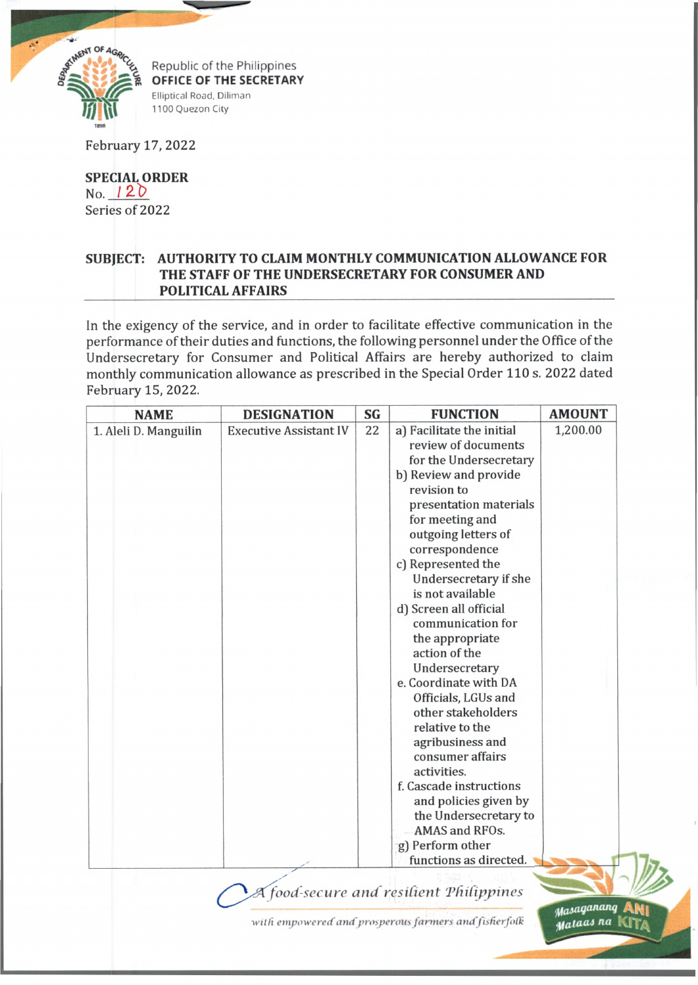

February 17, 2022

**SPECIAL ORDER** No.  $120$ Series of 2022

## **SUBJECT: AUTHORITY TO CLAIM MONTHLY COMMUNICATION ALLOWANCE FOR THE STAFF OF THE UNDERSECRETARY FOR CONSUMER AND POLITICAL AFFAIRS**

In the exigency of the service, and in order to facilitate effective communication in the performance of their duties and functions, the following personnel under the Office of the Undersecretary for Consumer and Political Affairs are hereby authorized to claim monthly communication allowance as prescribed in the Special Order 110 s. 2022 dated February 15, 2022.

| <b>NAME</b>           | <b>DESIGNATION</b>            | SG | <b>FUNCTION</b>                         | <b>AMOUNT</b> |
|-----------------------|-------------------------------|----|-----------------------------------------|---------------|
| 1. Aleli D. Manguilin | <b>Executive Assistant IV</b> | 22 | a) Facilitate the initial               | 1,200.00      |
|                       |                               |    | review of documents                     |               |
|                       |                               |    | for the Undersecretary                  |               |
|                       |                               |    | b) Review and provide                   |               |
|                       |                               |    | revision to                             |               |
|                       |                               |    | presentation materials                  |               |
|                       |                               |    | for meeting and                         |               |
|                       |                               |    | outgoing letters of                     |               |
|                       |                               |    | correspondence                          |               |
|                       |                               |    | c) Represented the                      |               |
|                       |                               |    | Undersecretary if she                   |               |
|                       |                               |    | is not available                        |               |
|                       |                               |    | d) Screen all official                  |               |
|                       |                               |    | communication for                       |               |
|                       |                               |    | the appropriate                         |               |
|                       |                               |    | action of the                           |               |
|                       |                               |    | Undersecretary                          |               |
|                       |                               |    | e. Coordinate with DA                   |               |
|                       |                               |    | Officials, LGUs and                     |               |
|                       |                               |    | other stakeholders                      |               |
|                       |                               |    | relative to the                         |               |
|                       |                               |    | agribusiness and                        |               |
|                       |                               |    | consumer affairs                        |               |
|                       |                               |    | activities.                             |               |
|                       |                               |    | f. Cascade instructions                 |               |
|                       |                               |    | and policies given by                   |               |
|                       |                               |    | the Undersecretary to                   |               |
|                       |                               |    | AMAS and RFOs.                          |               |
|                       |                               |    | g) Perform other                        |               |
|                       |                               |    | functions as directed.                  |               |
|                       |                               |    |                                         |               |
|                       |                               |    | A food-secure and resilient Philippines |               |
|                       |                               |    |                                         | Masaganang    |

*■wild empoweredamf prosperous farmers and fisfierfotk*

*Mataas* na